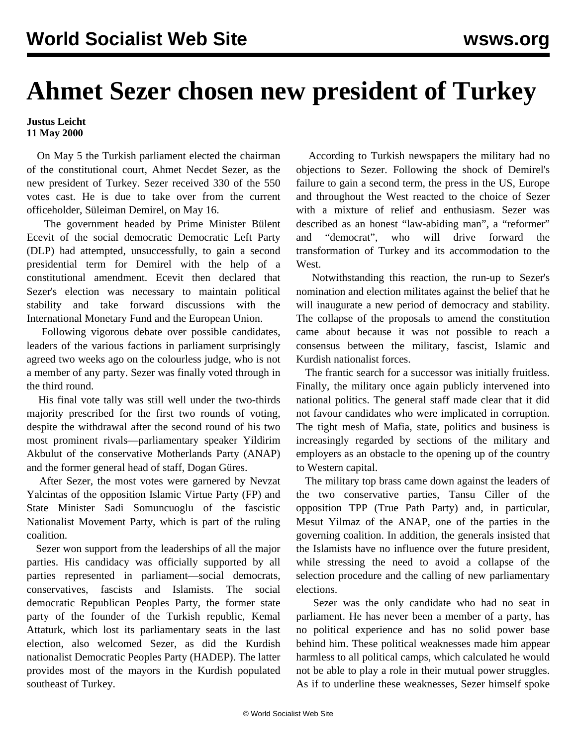## **Ahmet Sezer chosen new president of Turkey**

## **Justus Leicht 11 May 2000**

 On May 5 the Turkish parliament elected the chairman of the constitutional court, Ahmet Necdet Sezer, as the new president of Turkey. Sezer received 330 of the 550 votes cast. He is due to take over from the current officeholder, Süleiman Demirel, on May 16.

 The government headed by Prime Minister Bülent Ecevit of the social democratic Democratic Left Party (DLP) had attempted, unsuccessfully, to gain a second presidential term for Demirel with the help of a constitutional amendment. Ecevit then declared that Sezer's election was necessary to maintain political stability and take forward discussions with the International Monetary Fund and the European Union.

 Following vigorous debate over possible candidates, leaders of the various factions in parliament surprisingly agreed two weeks ago on the colourless judge, who is not a member of any party. Sezer was finally voted through in the third round.

 His final vote tally was still well under the two-thirds majority prescribed for the first two rounds of voting, despite the withdrawal after the second round of his two most prominent rivals—parliamentary speaker Yildirim Akbulut of the conservative Motherlands Party (ANAP) and the former general head of staff, Dogan Güres.

 After Sezer, the most votes were garnered by Nevzat Yalcintas of the opposition Islamic Virtue Party (FP) and State Minister Sadi Somuncuoglu of the fascistic Nationalist Movement Party, which is part of the ruling coalition.

 Sezer won support from the leaderships of all the major parties. His candidacy was officially supported by all parties represented in parliament—social democrats, conservatives, fascists and Islamists. The social democratic Republican Peoples Party, the former state party of the founder of the Turkish republic, Kemal Attaturk, which lost its parliamentary seats in the last election, also welcomed Sezer, as did the Kurdish nationalist Democratic Peoples Party (HADEP). The latter provides most of the mayors in the Kurdish populated southeast of Turkey.

 According to Turkish newspapers the military had no objections to Sezer. Following the shock of Demirel's failure to gain a second term, the press in the US, Europe and throughout the West reacted to the choice of Sezer with a mixture of relief and enthusiasm. Sezer was described as an honest "law-abiding man", a "reformer" and "democrat", who will drive forward the transformation of Turkey and its accommodation to the **West**.

 Notwithstanding this reaction, the run-up to Sezer's nomination and election militates against the belief that he will inaugurate a new period of democracy and stability. The collapse of the proposals to amend the constitution came about because it was not possible to reach a consensus between the military, fascist, Islamic and Kurdish nationalist forces.

 The frantic search for a successor was initially fruitless. Finally, the military once again publicly intervened into national politics. The general staff made clear that it did not favour candidates who were implicated in corruption. The tight mesh of Mafia, state, politics and business is increasingly regarded by sections of the military and employers as an obstacle to the opening up of the country to Western capital.

 The military top brass came down against the leaders of the two conservative parties, Tansu Ciller of the opposition TPP (True Path Party) and, in particular, Mesut Yilmaz of the ANAP, one of the parties in the governing coalition. In addition, the generals insisted that the Islamists have no influence over the future president, while stressing the need to avoid a collapse of the selection procedure and the calling of new parliamentary elections.

 Sezer was the only candidate who had no seat in parliament. He has never been a member of a party, has no political experience and has no solid power base behind him. These political weaknesses made him appear harmless to all political camps, which calculated he would not be able to play a role in their mutual power struggles. As if to underline these weaknesses, Sezer himself spoke